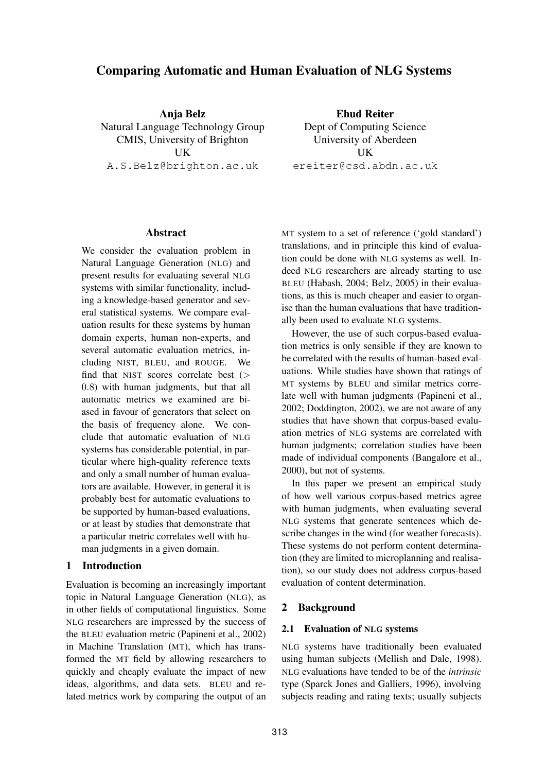# **Comparing Automatic and Human Evaluation of NLG Systems**

**Anja Belz** Natural Language Technology Group CMIS, University of Brighton UK A.S.Belz@brighton.ac.uk

**Ehud Reiter** Dept of Computing Science University of Aberdeen **IK** ereiter@csd.abdn.ac.uk

#### **Abstract**

We consider the evaluation problem in Natural Language Generation (NLG) and present results for evaluating several NLG systems with similar functionality, including a knowledge-based generator and several statistical systems. We compare evaluation results for these systems by human domain experts, human non-experts, and several automatic evaluation metrics, including NIST, BLEU, and ROUGE. We find that NIST scores correlate best (> 0.8) with human judgments, but that all automatic metrics we examined are biased in favour of generators that select on the basis of frequency alone. We conclude that automatic evaluation of NLG systems has considerable potential, in particular where high-quality reference texts and only a small number of human evaluators are available. However, in general it is probably best for automatic evaluations to be supported by human-based evaluations, or at least by studies that demonstrate that a particular metric correlates well with human judgments in a given domain.

### **1 Introduction**

Evaluation is becoming an increasingly important topic in Natural Language Generation (NLG), as in other fields of computational linguistics. Some NLG researchers are impressed by the success of the BLEU evaluation metric (Papineni et al., 2002) in Machine Translation (MT), which has transformed the MT field by allowing researchers to quickly and cheaply evaluate the impact of new ideas, algorithms, and data sets. BLEU and related metrics work by comparing the output of an

MT system to a set of reference ('gold standard') translations, and in principle this kind of evaluation could be done with NLG systems as well. Indeed NLG researchers are already starting to use BLEU (Habash, 2004; Belz, 2005) in their evaluations, as this is much cheaper and easier to organise than the human evaluations that have traditionally been used to evaluate NLG systems.

However, the use of such corpus-based evaluation metrics is only sensible if they are known to be correlated with the results of human-based evaluations. While studies have shown that ratings of MT systems by BLEU and similar metrics correlate well with human judgments (Papineni et al., 2002; Doddington, 2002), we are not aware of any studies that have shown that corpus-based evaluation metrics of NLG systems are correlated with human judgments; correlation studies have been made of individual components (Bangalore et al., 2000), but not of systems.

In this paper we present an empirical study of how well various corpus-based metrics agree with human judgments, when evaluating several NLG systems that generate sentences which describe changes in the wind (for weather forecasts). These systems do not perform content determination (they are limited to microplanning and realisation), so our study does not address corpus-based evaluation of content determination.

## **2 Background**

#### **2.1 Evaluation of NLG systems**

NLG systems have traditionally been evaluated using human subjects (Mellish and Dale, 1998). NLG evaluations have tended to be of the *intrinsic* type (Sparck Jones and Galliers, 1996), involving subjects reading and rating texts; usually subjects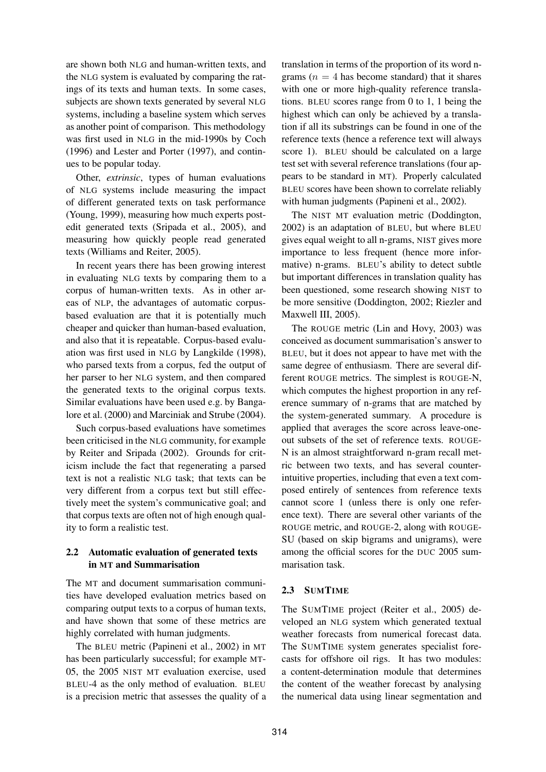are shown both NLG and human-written texts, and the NLG system is evaluated by comparing the ratings of its texts and human texts. In some cases, subjects are shown texts generated by several NLG systems, including a baseline system which serves as another point of comparison. This methodology was first used in NLG in the mid-1990s by Coch (1996) and Lester and Porter (1997), and continues to be popular today.

Other, *extrinsic*, types of human evaluations of NLG systems include measuring the impact of different generated texts on task performance (Young, 1999), measuring how much experts postedit generated texts (Sripada et al., 2005), and measuring how quickly people read generated texts (Williams and Reiter, 2005).

In recent years there has been growing interest in evaluating NLG texts by comparing them to a corpus of human-written texts. As in other areas of NLP, the advantages of automatic corpusbased evaluation are that it is potentially much cheaper and quicker than human-based evaluation, and also that it is repeatable. Corpus-based evaluation was first used in NLG by Langkilde (1998), who parsed texts from a corpus, fed the output of her parser to her NLG system, and then compared the generated texts to the original corpus texts. Similar evaluations have been used e.g. by Bangalore et al. (2000) and Marciniak and Strube (2004).

Such corpus-based evaluations have sometimes been criticised in the NLG community, for example by Reiter and Sripada (2002). Grounds for criticism include the fact that regenerating a parsed text is not a realistic NLG task; that texts can be very different from a corpus text but still effectively meet the system's communicative goal; and that corpus texts are often not of high enough quality to form a realistic test.

## **2.2 Automatic evaluation of generated texts in MT and Summarisation**

The MT and document summarisation communities have developed evaluation metrics based on comparing output texts to a corpus of human texts, and have shown that some of these metrics are highly correlated with human judgments.

The BLEU metric (Papineni et al., 2002) in MT has been particularly successful; for example MT-05, the 2005 NIST MT evaluation exercise, used BLEU-4 as the only method of evaluation. BLEU is a precision metric that assesses the quality of a translation in terms of the proportion of its word ngrams ( $n = 4$  has become standard) that it shares with one or more high-quality reference translations. BLEU scores range from 0 to 1, 1 being the highest which can only be achieved by a translation if all its substrings can be found in one of the reference texts (hence a reference text will always score 1). BLEU should be calculated on a large test set with several reference translations (four appears to be standard in MT). Properly calculated BLEU scores have been shown to correlate reliably with human judgments (Papineni et al., 2002).

The NIST MT evaluation metric (Doddington, 2002) is an adaptation of BLEU, but where BLEU gives equal weight to all n-grams, NIST gives more importance to less frequent (hence more informative) n-grams. BLEU's ability to detect subtle but important differences in translation quality has been questioned, some research showing NIST to be more sensitive (Doddington, 2002; Riezler and Maxwell III, 2005).

The ROUGE metric (Lin and Hovy, 2003) was conceived as document summarisation's answer to BLEU, but it does not appear to have met with the same degree of enthusiasm. There are several different ROUGE metrics. The simplest is ROUGE-N, which computes the highest proportion in any reference summary of n-grams that are matched by the system-generated summary. A procedure is applied that averages the score across leave-oneout subsets of the set of reference texts. ROUGE-N is an almost straightforward n-gram recall metric between two texts, and has several counterintuitive properties, including that even a text composed entirely of sentences from reference texts cannot score 1 (unless there is only one reference text). There are several other variants of the ROUGE metric, and ROUGE-2, along with ROUGE-SU (based on skip bigrams and unigrams), were among the official scores for the DUC 2005 summarisation task.

## **2.3 SUMTIME**

The SUMTIME project (Reiter et al., 2005) developed an NLG system which generated textual weather forecasts from numerical forecast data. The SUMTIME system generates specialist forecasts for offshore oil rigs. It has two modules: a content-determination module that determines the content of the weather forecast by analysing the numerical data using linear segmentation and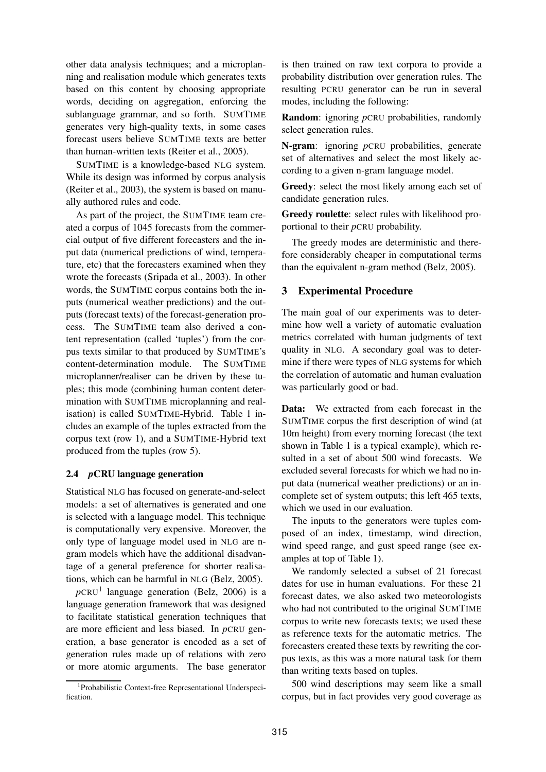other data analysis techniques; and a microplanning and realisation module which generates texts based on this content by choosing appropriate words, deciding on aggregation, enforcing the sublanguage grammar, and so forth. SUMTIME generates very high-quality texts, in some cases forecast users believe SUMTIME texts are better than human-written texts (Reiter et al., 2005).

SUMTIME is a knowledge-based NLG system. While its design was informed by corpus analysis (Reiter et al., 2003), the system is based on manually authored rules and code.

As part of the project, the SUMTIME team created a corpus of 1045 forecasts from the commercial output of five different forecasters and the input data (numerical predictions of wind, temperature, etc) that the forecasters examined when they wrote the forecasts (Sripada et al., 2003). In other words, the SUMTIME corpus contains both the inputs (numerical weather predictions) and the outputs (forecast texts) of the forecast-generation process. The SUMTIME team also derived a content representation (called 'tuples') from the corpus texts similar to that produced by SUMTIME's content-determination module. The SUMTIME microplanner/realiser can be driven by these tuples; this mode (combining human content determination with SUMTIME microplanning and realisation) is called SUMTIME-Hybrid. Table 1 includes an example of the tuples extracted from the corpus text (row 1), and a SUMTIME-Hybrid text produced from the tuples (row 5).

#### **2.4** *p***CRU language generation**

Statistical NLG has focused on generate-and-select models: a set of alternatives is generated and one is selected with a language model. This technique is computationally very expensive. Moreover, the only type of language model used in NLG are ngram models which have the additional disadvantage of a general preference for shorter realisations, which can be harmful in NLG (Belz, 2005).

 $p$ CRU<sup>1</sup> language generation (Belz, 2006) is a language generation framework that was designed to facilitate statistical generation techniques that are more efficient and less biased. In *p*CRU generation, a base generator is encoded as a set of generation rules made up of relations with zero or more atomic arguments. The base generator is then trained on raw text corpora to provide a probability distribution over generation rules. The resulting PCRU generator can be run in several modes, including the following:

**Random**: ignoring *p*CRU probabilities, randomly select generation rules.

**N-gram**: ignoring *p*CRU probabilities, generate set of alternatives and select the most likely according to a given n-gram language model.

**Greedy**: select the most likely among each set of candidate generation rules.

**Greedy roulette**: select rules with likelihood proportional to their *p*CRU probability.

The greedy modes are deterministic and therefore considerably cheaper in computational terms than the equivalent n-gram method (Belz, 2005).

### **3 Experimental Procedure**

The main goal of our experiments was to determine how well a variety of automatic evaluation metrics correlated with human judgments of text quality in NLG. A secondary goal was to determine if there were types of NLG systems for which the correlation of automatic and human evaluation was particularly good or bad.

**Data:** We extracted from each forecast in the SUMTIME corpus the first description of wind (at 10m height) from every morning forecast (the text shown in Table 1 is a typical example), which resulted in a set of about 500 wind forecasts. We excluded several forecasts for which we had no input data (numerical weather predictions) or an incomplete set of system outputs; this left 465 texts, which we used in our evaluation.

The inputs to the generators were tuples composed of an index, timestamp, wind direction, wind speed range, and gust speed range (see examples at top of Table 1).

We randomly selected a subset of 21 forecast dates for use in human evaluations. For these 21 forecast dates, we also asked two meteorologists who had not contributed to the original SUMTIME corpus to write new forecasts texts; we used these as reference texts for the automatic metrics. The forecasters created these texts by rewriting the corpus texts, as this was a more natural task for them than writing texts based on tuples.

500 wind descriptions may seem like a small corpus, but in fact provides very good coverage as

<sup>1</sup> Probabilistic Context-free Representational Underspecification.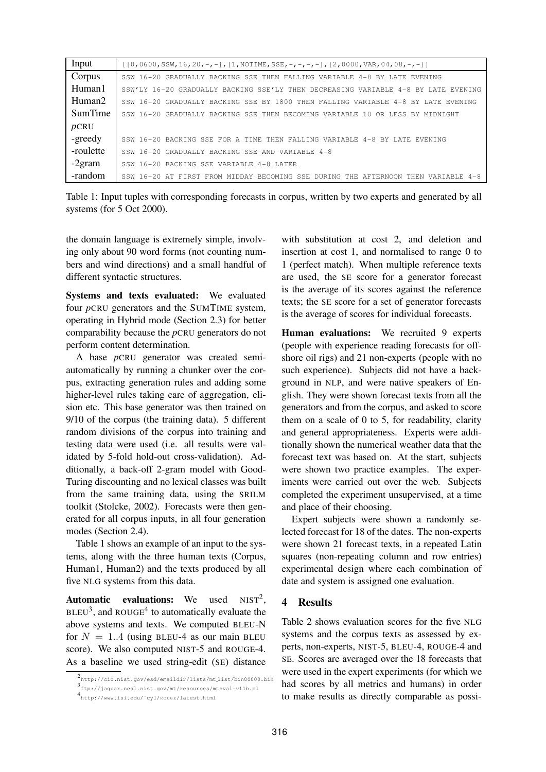| Input     | $[0,0600,SSW,16,20,-,-]$ , $[1,NOTIME, SSE, -,-,-,-]$ , $[2,0000,VAR, 04, 08, -,-]$ |
|-----------|-------------------------------------------------------------------------------------|
| Corpus    | SSW 16-20 GRADUALLY BACKING SSE THEN FALLING VARIABLE 4-8 BY LATE EVENING           |
| Human1    | SSW'LY 16-20 GRADUALLY BACKING SSE'LY THEN DECREASING VARIABLE 4-8 BY LATE EVENING  |
| Human2    | SSW 16-20 GRADUALLY BACKING SSE BY 1800 THEN FALLING VARIABLE 4-8 BY LATE EVENING   |
| SumTime   | SSW 16-20 GRADUALLY BACKING SSE THEN BECOMING VARIABLE 10 OR LESS BY MIDNIGHT       |
| pCRU      |                                                                                     |
| -greedy   | SSW 16-20 BACKING SSE FOR A TIME THEN FALLING VARIABLE 4-8 BY LATE EVENING          |
| -roulette | SSW 16-20 GRADUALLY BACKING SSE AND VARIABLE 4-8                                    |
| $-2gram$  | SSW 16-20 BACKING SSE VARIABLE 4-8 LATER                                            |
| -random   | SSW 16-20 AT FIRST FROM MIDDAY BECOMING SSE DURING THE AFTERNOON THEN VARIABLE 4-8  |

Table 1: Input tuples with corresponding forecasts in corpus, written by two experts and generated by all systems (for 5 Oct 2000).

the domain language is extremely simple, involving only about 90 word forms (not counting numbers and wind directions) and a small handful of different syntactic structures.

**Systems and texts evaluated:** We evaluated four *p*CRU generators and the SUMTIME system, operating in Hybrid mode (Section 2.3) for better comparability because the *p*CRU generators do not perform content determination.

A base *p*CRU generator was created semiautomatically by running a chunker over the corpus, extracting generation rules and adding some higher-level rules taking care of aggregation, elision etc. This base generator was then trained on 9/10 of the corpus (the training data). 5 different random divisions of the corpus into training and testing data were used (i.e. all results were validated by 5-fold hold-out cross-validation). Additionally, a back-off 2-gram model with Good-Turing discounting and no lexical classes was built from the same training data, using the SRILM toolkit (Stolcke, 2002). Forecasts were then generated for all corpus inputs, in all four generation modes (Section 2.4).

Table 1 shows an example of an input to the systems, along with the three human texts (Corpus, Human1, Human2) and the texts produced by all five NLG systems from this data.

**Automatic evaluations:** We used  $NIST<sup>2</sup>$ .  $BLEU^3$ , and ROUGE<sup>4</sup> to automatically evaluate the above systems and texts. We computed BLEU-N for  $N = 1.4$  (using BLEU-4 as our main BLEU score). We also computed NIST-5 and ROUGE-4. As a baseline we used string-edit (SE) distance

with substitution at cost 2, and deletion and insertion at cost 1, and normalised to range 0 to 1 (perfect match). When multiple reference texts are used, the SE score for a generator forecast is the average of its scores against the reference texts; the SE score for a set of generator forecasts is the average of scores for individual forecasts.

**Human evaluations:** We recruited 9 experts (people with experience reading forecasts for offshore oil rigs) and 21 non-experts (people with no such experience). Subjects did not have a background in NLP, and were native speakers of English. They were shown forecast texts from all the generators and from the corpus, and asked to score them on a scale of 0 to 5, for readability, clarity and general appropriateness. Experts were additionally shown the numerical weather data that the forecast text was based on. At the start, subjects were shown two practice examples. The experiments were carried out over the web. Subjects completed the experiment unsupervised, at a time and place of their choosing.

Expert subjects were shown a randomly selected forecast for 18 of the dates. The non-experts were shown 21 forecast texts, in a repeated Latin squares (non-repeating column and row entries) experimental design where each combination of date and system is assigned one evaluation.

### **4 Results**

Table 2 shows evaluation scores for the five NLG systems and the corpus texts as assessed by experts, non-experts, NIST-5, BLEU-4, ROUGE-4 and SE. Scores are averaged over the 18 forecasts that were used in the expert experiments (for which we had scores by all metrics and humans) in order to make results as directly comparable as possi-

<sup>2</sup> http://cio.nist.gov/esd/emaildir/lists/mt list/bin00000.bin 3 ftp://jaguar.ncsl.nist.gov/mt/resources/mteval-v11b.pl

<sup>4&</sup>lt;br>http://www.isi.edu/~cyl/ROUGE/latest.html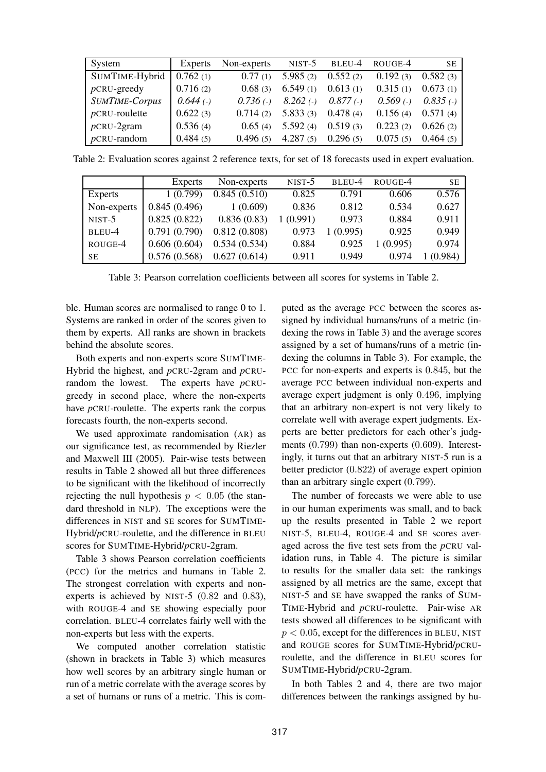| System                | Experts     | Non-experts | $NIST-5$    | BLEU-4      | ROUGE-4     | <b>SE</b>   |
|-----------------------|-------------|-------------|-------------|-------------|-------------|-------------|
| SUMTIME-Hybrid        | 0.762(1)    | 0.77(1)     | 5.985(2)    | 0.552(2)    | 0.192(3)    | 0.582(3)    |
| $p$ CRU-greedy        | 0.716(2)    | 0.68(3)     | 6.549(1)    | 0.613(1)    | 0.315(1)    | 0.673(1)    |
| <b>SUMTIME-Corpus</b> | $0.644$ (-) | $0.736$ (-) | $8.262$ (-) | $0.877$ (-) | $0.569$ (-) | $0.835$ (-) |
| $p$ CRU-roulette      | 0.622(3)    | 0.714(2)    | 5.833(3)    | 0.478(4)    | 0.156(4)    | 0.571(4)    |
| $p$ CRU-2gram         | 0.536(4)    | 0.65(4)     | 5.592(4)    | 0.519(3)    | 0.223(2)    | 0.626(2)    |
| $p$ CRU-random        | 0.484(5)    | 0.496(5)    | 4.287(5)    | 0.296(5)    | 0.075(5)    | 0.464(5)    |

Table 2: Evaluation scores against 2 reference texts, for set of 18 forecasts used in expert evaluation.

|             | Experts      | Non-experts  | $NIST-5$ | BLEU-4  | ROUGE-4  | <b>SE</b> |
|-------------|--------------|--------------|----------|---------|----------|-----------|
| Experts     | 1(0.799)     | 0.845(0.510) | 0.825    | 0.791   | 0.606    | 0.576     |
| Non-experts | 0.845(0.496) | 1(0.609)     | 0.836    | 0.812   | 0.534    | 0.627     |
| $NIST-5$    | 0.825(0.822) | 0.836(0.83)  | 1(0.991) | 0.973   | 0.884    | 0.911     |
| BLEU-4      | 0.791(0.790) | 0.812(0.808) | 0.973    | (0.995) | 0.925    | 0.949     |
| ROUGE-4     | 0.606(0.604) | 0.534(0.534) | 0.884    | 0.925   | 1(0.995) | 0.974     |
| SE          | 0.576(0.568) | 0.627(0.614) | 0.911    | 0.949   | 0.974    | (0.984)   |

Table 3: Pearson correlation coefficients between all scores for systems in Table 2.

ble. Human scores are normalised to range 0 to 1. Systems are ranked in order of the scores given to them by experts. All ranks are shown in brackets behind the absolute scores.

Both experts and non-experts score SUMTIME-Hybrid the highest, and *p*CRU-2gram and *p*CRUrandom the lowest. The experts have *p*CRUgreedy in second place, where the non-experts have *p*CRU-roulette. The experts rank the corpus forecasts fourth, the non-experts second.

We used approximate randomisation (AR) as our significance test, as recommended by Riezler and Maxwell III (2005). Pair-wise tests between results in Table 2 showed all but three differences to be significant with the likelihood of incorrectly rejecting the null hypothesis  $p < 0.05$  (the standard threshold in NLP). The exceptions were the differences in NIST and SE scores for SUMTIME-Hybrid/*p*CRU-roulette, and the difference in BLEU scores for SUMTIME-Hybrid/*p*CRU-2gram.

Table 3 shows Pearson correlation coefficients (PCC) for the metrics and humans in Table 2. The strongest correlation with experts and nonexperts is achieved by NIST-5 (0.82 and 0.83), with ROUGE-4 and SE showing especially poor correlation. BLEU-4 correlates fairly well with the non-experts but less with the experts.

We computed another correlation statistic (shown in brackets in Table 3) which measures how well scores by an arbitrary single human or run of a metric correlate with the average scores by a set of humans or runs of a metric. This is computed as the average PCC between the scores assigned by individual humans/runs of a metric (indexing the rows in Table 3) and the average scores assigned by a set of humans/runs of a metric (indexing the columns in Table 3). For example, the PCC for non-experts and experts is 0.845, but the average PCC between individual non-experts and average expert judgment is only 0.496, implying that an arbitrary non-expert is not very likely to correlate well with average expert judgments. Experts are better predictors for each other's judgments (0.799) than non-experts (0.609). Interestingly, it turns out that an arbitrary NIST-5 run is a better predictor (0.822) of average expert opinion than an arbitrary single expert (0.799).

The number of forecasts we were able to use in our human experiments was small, and to back up the results presented in Table 2 we report NIST-5, BLEU-4, ROUGE-4 and SE scores averaged across the five test sets from the *p*CRU validation runs, in Table 4. The picture is similar to results for the smaller data set: the rankings assigned by all metrics are the same, except that NIST-5 and SE have swapped the ranks of SUM-TIME-Hybrid and *p*CRU-roulette. Pair-wise AR tests showed all differences to be significant with  $p < 0.05$ , except for the differences in BLEU, NIST and ROUGE scores for SUMTIME-Hybrid/*p*CRUroulette, and the difference in BLEU scores for SUMTIME-Hybrid/*p*CRU-2gram.

In both Tables 2 and 4, there are two major differences between the rankings assigned by hu-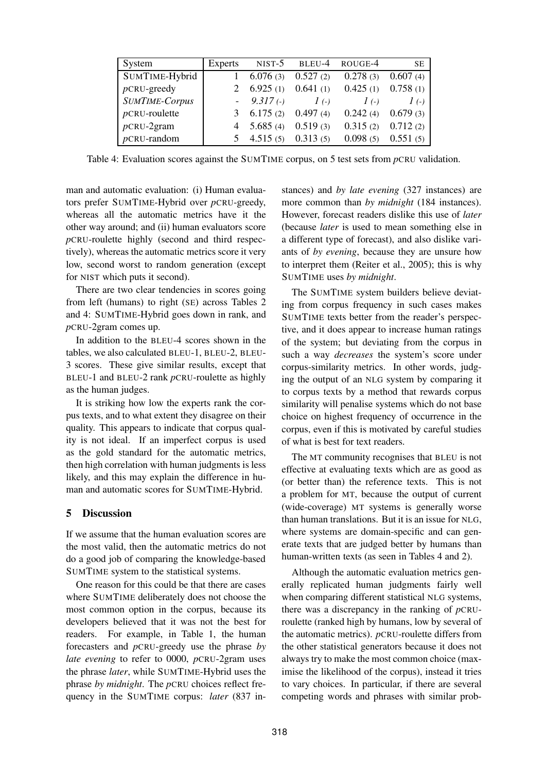| System                | Experts |              | NIST-5 BLEU-4 ROUGE-4 |            | <b>SE</b> |
|-----------------------|---------|--------------|-----------------------|------------|-----------|
| SUMTIME-Hybrid        |         | 6.076(3)     | 0.527(2)              | 0.278(3)   | 0.607(4)  |
| $p$ CRU-greedy        |         | 6.925(1)     | 0.641(1)              | 0.425(1)   | 0.758(1)  |
| <b>SUMTIME-Corpus</b> |         | $-9.317(-)$  | $I(\cdot)$            | $I(\cdot)$ | $I($ -)   |
| $p$ CRU-roulette      | 3       | 6.175(2)     | 0.497(4)              | 0.242(4)   | 0.679(3)  |
| $p$ CRU-2gram         |         | 4 $5.685(4)$ | 0.519(3)              | 0.315(2)   | 0.712(2)  |
| $p$ CRU-random        | 5       | 4.515(5)     | 0.313(5)              | 0.098(5)   | 0.551(5)  |

Table 4: Evaluation scores against the SUMTIME corpus, on 5 test sets from *p*CRU validation.

man and automatic evaluation: (i) Human evaluators prefer SUMTIME-Hybrid over *p*CRU-greedy, whereas all the automatic metrics have it the other way around; and (ii) human evaluators score *p*CRU-roulette highly (second and third respectively), whereas the automatic metrics score it very low, second worst to random generation (except for NIST which puts it second).

There are two clear tendencies in scores going from left (humans) to right (SE) across Tables 2 and 4: SUMTIME-Hybrid goes down in rank, and *p*CRU-2gram comes up.

In addition to the BLEU-4 scores shown in the tables, we also calculated BLEU-1, BLEU-2, BLEU-3 scores. These give similar results, except that BLEU-1 and BLEU-2 rank *p*CRU-roulette as highly as the human judges.

It is striking how low the experts rank the corpus texts, and to what extent they disagree on their quality. This appears to indicate that corpus quality is not ideal. If an imperfect corpus is used as the gold standard for the automatic metrics, then high correlation with human judgments is less likely, and this may explain the difference in human and automatic scores for SUMTIME-Hybrid.

## **5 Discussion**

If we assume that the human evaluation scores are the most valid, then the automatic metrics do not do a good job of comparing the knowledge-based SUMTIME system to the statistical systems.

One reason for this could be that there are cases where SUMTIME deliberately does not choose the most common option in the corpus, because its developers believed that it was not the best for readers. For example, in Table 1, the human forecasters and *p*CRU-greedy use the phrase *by late evening* to refer to 0000, *p*CRU-2gram uses the phrase *later*, while SUMTIME-Hybrid uses the phrase *by midnight*. The *p*CRU choices reflect frequency in the SUMTIME corpus: *later* (837 instances) and *by late evening* (327 instances) are more common than *by midnight* (184 instances). However, forecast readers dislike this use of *later* (because *later* is used to mean something else in a different type of forecast), and also dislike variants of *by evening*, because they are unsure how to interpret them (Reiter et al., 2005); this is why SUMTIME uses *by midnight*.

The SUMTIME system builders believe deviating from corpus frequency in such cases makes SUMTIME texts better from the reader's perspective, and it does appear to increase human ratings of the system; but deviating from the corpus in such a way *decreases* the system's score under corpus-similarity metrics. In other words, judging the output of an NLG system by comparing it to corpus texts by a method that rewards corpus similarity will penalise systems which do not base choice on highest frequency of occurrence in the corpus, even if this is motivated by careful studies of what is best for text readers.

The MT community recognises that BLEU is not effective at evaluating texts which are as good as (or better than) the reference texts. This is not a problem for MT, because the output of current (wide-coverage) MT systems is generally worse than human translations. But it is an issue for NLG, where systems are domain-specific and can generate texts that are judged better by humans than human-written texts (as seen in Tables 4 and 2).

Although the automatic evaluation metrics generally replicated human judgments fairly well when comparing different statistical NLG systems, there was a discrepancy in the ranking of *p*CRUroulette (ranked high by humans, low by several of the automatic metrics). *p*CRU-roulette differs from the other statistical generators because it does not always try to make the most common choice (maximise the likelihood of the corpus), instead it tries to vary choices. In particular, if there are several competing words and phrases with similar prob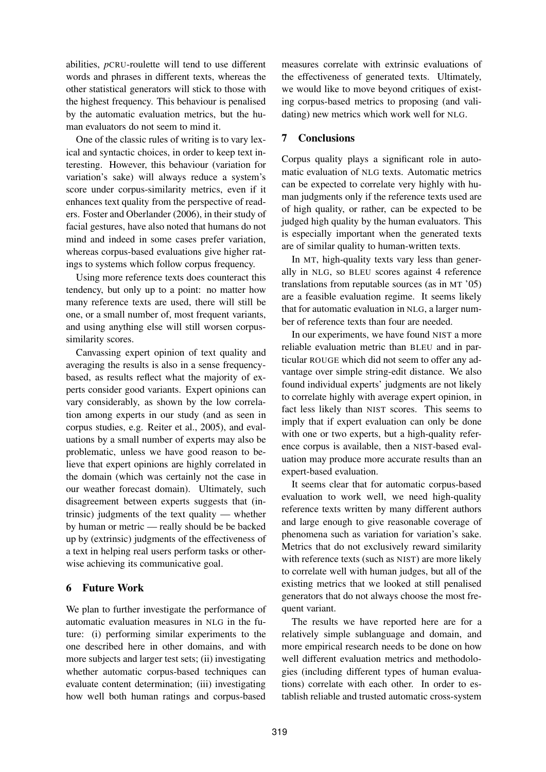abilities, *p*CRU-roulette will tend to use different words and phrases in different texts, whereas the other statistical generators will stick to those with the highest frequency. This behaviour is penalised by the automatic evaluation metrics, but the human evaluators do not seem to mind it.

One of the classic rules of writing is to vary lexical and syntactic choices, in order to keep text interesting. However, this behaviour (variation for variation's sake) will always reduce a system's score under corpus-similarity metrics, even if it enhances text quality from the perspective of readers. Foster and Oberlander (2006), in their study of facial gestures, have also noted that humans do not mind and indeed in some cases prefer variation, whereas corpus-based evaluations give higher ratings to systems which follow corpus frequency.

Using more reference texts does counteract this tendency, but only up to a point: no matter how many reference texts are used, there will still be one, or a small number of, most frequent variants, and using anything else will still worsen corpussimilarity scores.

Canvassing expert opinion of text quality and averaging the results is also in a sense frequencybased, as results reflect what the majority of experts consider good variants. Expert opinions can vary considerably, as shown by the low correlation among experts in our study (and as seen in corpus studies, e.g. Reiter et al., 2005), and evaluations by a small number of experts may also be problematic, unless we have good reason to believe that expert opinions are highly correlated in the domain (which was certainly not the case in our weather forecast domain). Ultimately, such disagreement between experts suggests that (intrinsic) judgments of the text quality — whether by human or metric — really should be be backed up by (extrinsic) judgments of the effectiveness of a text in helping real users perform tasks or otherwise achieving its communicative goal.

## **6 Future Work**

We plan to further investigate the performance of automatic evaluation measures in NLG in the future: (i) performing similar experiments to the one described here in other domains, and with more subjects and larger test sets; (ii) investigating whether automatic corpus-based techniques can evaluate content determination; (iii) investigating how well both human ratings and corpus-based

measures correlate with extrinsic evaluations of the effectiveness of generated texts. Ultimately, we would like to move beyond critiques of existing corpus-based metrics to proposing (and validating) new metrics which work well for NLG.

## **7 Conclusions**

Corpus quality plays a significant role in automatic evaluation of NLG texts. Automatic metrics can be expected to correlate very highly with human judgments only if the reference texts used are of high quality, or rather, can be expected to be judged high quality by the human evaluators. This is especially important when the generated texts are of similar quality to human-written texts.

In MT, high-quality texts vary less than generally in NLG, so BLEU scores against 4 reference translations from reputable sources (as in MT '05) are a feasible evaluation regime. It seems likely that for automatic evaluation in NLG, a larger number of reference texts than four are needed.

In our experiments, we have found NIST a more reliable evaluation metric than BLEU and in particular ROUGE which did not seem to offer any advantage over simple string-edit distance. We also found individual experts' judgments are not likely to correlate highly with average expert opinion, in fact less likely than NIST scores. This seems to imply that if expert evaluation can only be done with one or two experts, but a high-quality reference corpus is available, then a NIST-based evaluation may produce more accurate results than an expert-based evaluation.

It seems clear that for automatic corpus-based evaluation to work well, we need high-quality reference texts written by many different authors and large enough to give reasonable coverage of phenomena such as variation for variation's sake. Metrics that do not exclusively reward similarity with reference texts (such as NIST) are more likely to correlate well with human judges, but all of the existing metrics that we looked at still penalised generators that do not always choose the most frequent variant.

The results we have reported here are for a relatively simple sublanguage and domain, and more empirical research needs to be done on how well different evaluation metrics and methodologies (including different types of human evaluations) correlate with each other. In order to establish reliable and trusted automatic cross-system